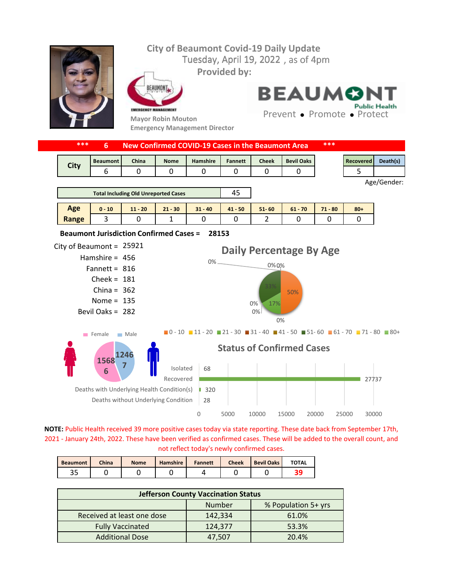

**NOTE:** Public Health received 39 more positive cases today via state reporting. These date back from September 17th, 2021 - January 24th, 2022. These have been verified as confirmed cases. These will be added to the overall count, and not reflect today's newly confirmed cases.

| <b>Beaumont</b> | <b>China</b> | <b>Nome</b> | <b>Hamshire</b> | <b>Fannett</b> | <b>Cheek</b> | <b>Bevil Oaks</b> | <b>TOTAL</b> |
|-----------------|--------------|-------------|-----------------|----------------|--------------|-------------------|--------------|
| ر ر             |              |             |                 |                |              |                   |              |

| <b>Jefferson County Vaccination Status</b> |         |                     |  |  |  |  |  |
|--------------------------------------------|---------|---------------------|--|--|--|--|--|
|                                            | Number  | % Population 5+ yrs |  |  |  |  |  |
| Received at least one dose                 | 142,334 | 61.0%               |  |  |  |  |  |
| <b>Fully Vaccinated</b>                    | 124,377 | 53.3%               |  |  |  |  |  |
| <b>Additional Dose</b>                     | 47,507  | 20.4%               |  |  |  |  |  |